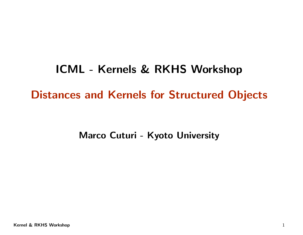# ICML - Kernels & RKHS WorkshopDistances and Kernels for Structured Objects

Marco Cuturi - Kyoto University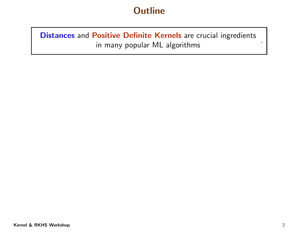Distances and Positive Definite Kernels are crucial ingredients in many popular ML algorithms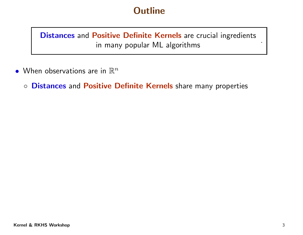Distances and Positive Definite Kernels are crucial ingredients in many popular ML algorithms

- $\bullet\,$  When observations are in  $\mathbb{R}^n$ 
	- Distances and Positive Definite Kernels share many properties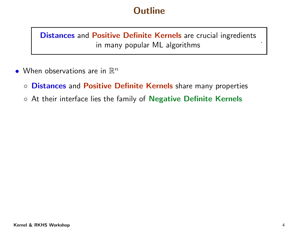Distances and Positive Definite Kernels are crucial ingredients in many popular ML algorithms .

- $\bullet\,$  When observations are in  $\mathbb{R}^n$ 
	- Distances and Positive Definite Kernels share many properties
	- $\circ$  At their interface lies the family of  ${\sf Negative\; Der}$  Definite Kernels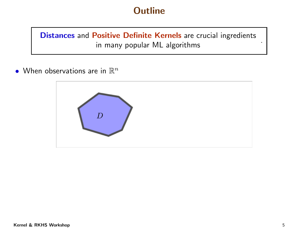Distances and Positive Definite Kernels are crucial ingredients in many popular ML algorithms

 $\bullet\,$  When observations are in  $\mathbb{R}^n$ 

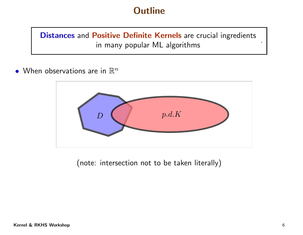Distances and Positive Definite Kernels are crucial ingredients in many popular ML algorithms

 $\bullet\,$  When observations are in  $\mathbb{R}^n$ 



(note: intersection not to be taken literally)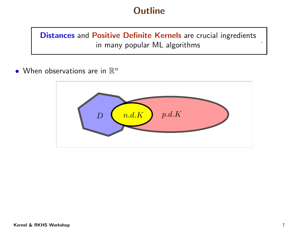Distances and Positive Definite Kernels are crucial ingredients in many popular ML algorithms

 $\bullet\,$  When observations are in  $\mathbb{R}^n$ 

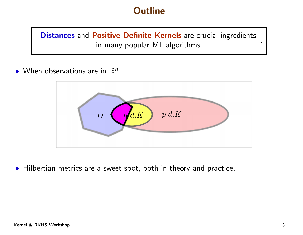Distances and Positive Definite Kernels are crucial ingredients in many popular ML algorithms .

 $\bullet\,$  When observations are in  $\mathbb{R}^n$ 



• Hilbertian metrics are <sup>a</sup> sweet spot, both in theory and practice.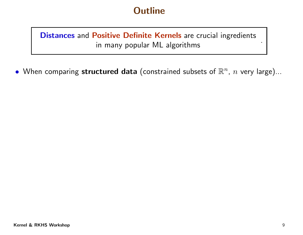Distances and Positive Definite Kernels are crucial ingredients in many popular ML algorithms .

 $\bullet\,$  When comparing  ${\sf structured}$   ${\sf data}$  (constrained subsets of  $\mathbb{R}^n$ ,  $n$  very large)...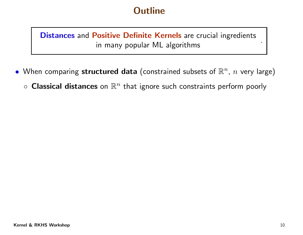Distances and Positive Definite Kernels are crucial ingredients in many popular ML algorithms .

- $\bullet\,$  When comparing  ${\sf structure}d$  data (constrained subsets of  $\mathbb{R}^n$ ,  $n$  very large)
	- $\circ$  Classical distances on  $\mathbb{R}^n$  that ignore such constraints perform poorly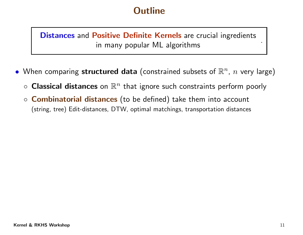Distances and Positive Definite Kernels are crucial ingredients in many popular ML algorithms

- $\bullet\,$  When comparing  ${\sf structure}d$  data (constrained subsets of  $\mathbb{R}^n$ ,  $n$  very large)
	- $\circ$  $\circ$  Classical distances on  $\mathbb{R}^n$  that ignore such constraints perform poorly
	- $\circ$  Combinatorial distances (to be defined) take them into account (string, tree) Edit-distances, DTW, optimal matchings, transportation distances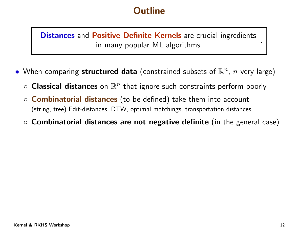Distances and Positive Definite Kernels are crucial ingredients in many popular ML algorithms

- $\bullet\,$  When comparing  ${\sf structure}d$  data (constrained subsets of  $\mathbb{R}^n$ ,  $n$  very large)
	- $\circ$  Classical distances on  $\mathbb{R}^n$  that ignore such constraints perform poorly
	- $\circ$  Combinatorial distances (to be defined) take them into account (string, tree) Edit-distances, DTW, optimal matchings, transportation distances
	- $\circ$  Combinatorial distances are not negative definite (in the general case)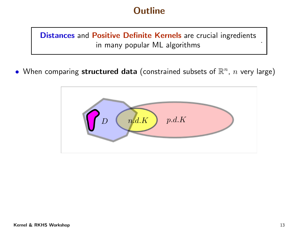Distances and Positive Definite Kernels are crucial ingredients in many popular ML algorithms .

 $\bullet\,$  When comparing  ${\sf structure}d$  data (constrained subsets of  $\mathbb{R}^n$ ,  $n$  very large)

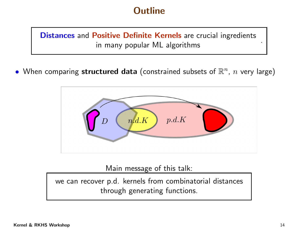Distances and Positive Definite Kernels are crucial ingredients in many popular ML algorithms .

 $\bullet\,$  When comparing  ${\sf structure}d$  data (constrained subsets of  $\mathbb{R}^n$ ,  $n$  very large)



Main message of this talk:

we can recover p.d. kernels from combinatorial distances through generating functions.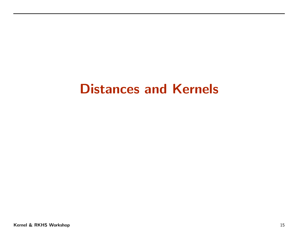## Distances and Kernels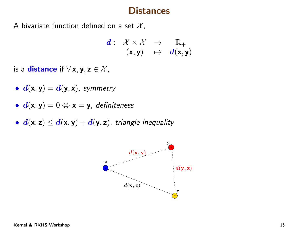#### **Distances**

A bivariate function defined on a set  $\mathcal{X},$ 

$$
\begin{array}{cccc} \boldsymbol{d}: & \mathcal{X} \times \mathcal{X} & \to & \mathbb{R}_+ \\ & (\mathbf{x}, \mathbf{y}) & \mapsto & \boldsymbol{d}(\mathbf{x}, \mathbf{y}) \end{array}
$$

is a distance if  $\forall$  x, y, z  $\in$   $\mathcal{X},$ 

- $\bullet \, d({\mathsf x},{\mathsf y}) = d({\mathsf y},{\mathsf x}), \,$  symmetry
- $d(\mathsf{x}, \mathsf{y}) = 0 \Leftrightarrow \mathsf{x} = \mathsf{y}$ , definiteness
- $d(\mathsf{x},\mathsf{z})\leq d(\mathsf{x},\mathsf{y})+d(\mathsf{y},\mathsf{z})$ , triangle inequality

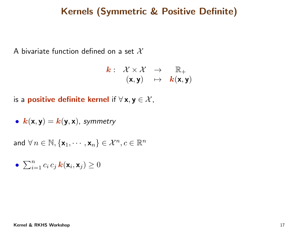#### Kernels (Symmetric & Positive Definite)

A bivariate function defined on a set  $\mathcal X$ 

$$
\begin{array}{cccc} \textbf{\textit{k}}: & \mathcal{X} \times \mathcal{X} & \rightarrow & \mathbb{R}_+ \\ & (\textbf{x}, \textbf{y}) & \mapsto & \textbf{\textit{k}}(\textbf{x}, \textbf{y}) \end{array}
$$

is a **positive definite kernel** if  $\forall$  **x**,  $\mathbf{y} \in \mathcal{X}$ ,

• 
$$
k(x, y) = k(y, x)
$$
, symmetry

and  $\forall n \in \mathbb{N}, \{\mathbf{x}_1, \cdots, \mathbf{x}_n\} \in \mathcal{X}^n, c \in \mathbb{R}^n$ 

$$
\bullet \ \sum_{i=1}^n c_i \, c_j \, \mathbf{k}(\mathbf{x}_i, \mathbf{x}_j) \geq 0
$$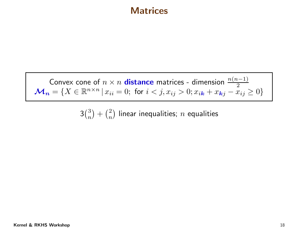#### **Matrices**

Convex cone of  $n \times n$  distance matrices - dimension  $\frac{n(n-1)}{2}$  $\mathcal{M}_{\bm{n}} = \{X \in \mathbb{R}^{n \times n} \, | \, x_{ii} = 0; \text{ for } i < j, x_{ij} > 0; x_{i\bm{k}} + x_{\bm{k}j} - x_{ij} \geq 0\}$ 

 $3\binom{3}{n} + \binom{2}{n}$  linear inequalities;  $n$  equalities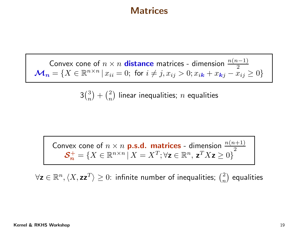#### **Matrices**

Convex cone of  $n \times n$  distance matrices - dimension  $\frac{n(n-1)}{2}$  $\mathcal{M}_n = \{X \in \mathbb{R}^{n \times n} \, | \, x_{ii} = 0; \text{ for } i \neq j, x_{ij} > 0; x_{i\mathbf{k}} + x_{\mathbf{k}j} - x_{ij} \geq 0\}$ 

 $3\binom{3}{n} + \binom{2}{n}$  linear inequalities;  $n$  equalities

Convex cone of  $n \times n$  **p.s.d. matrices** - dimension  $\frac{n(n+1)}{2}$  $\mathcal{S}_n^+ = \{X \in \mathbb{R}^{n \times n} | X = X^T; \forall \mathbf{z} \in \mathbb{R}^n, \, \mathbf{z}^T X \mathbf{z} \geq 0\}$ 

 $\forall \mathsf{z} \in \mathbb{R}^n, \langle X, \mathsf{z}\mathsf{z}^T\rangle \geq 0$ : infinite number of inequalities;  ${2 \choose n}$  equalities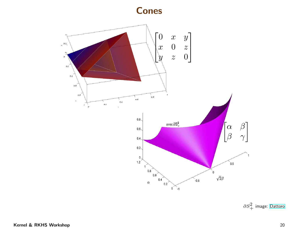Cones



 $\partial S^2_+$  image: [Dattoro](http://meboo.convexoptimization.com/Meboo.html)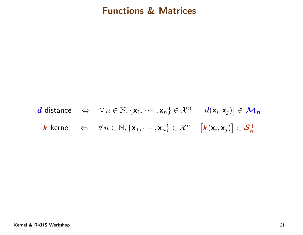#### Functions & Matrices

$$
\mathbf{d} \text{ distance } \Leftrightarrow \forall n \in \mathbb{N}, \{\mathbf{x}_1, \cdots, \mathbf{x}_n\} \in \mathcal{X}^n \quad [\mathbf{d}(\mathbf{x}_i, \mathbf{x}_j)] \in \mathcal{M}_n
$$
\n
$$
\mathbf{k} \text{ kernel } \Leftrightarrow \forall n \in \mathbb{N}, \{\mathbf{x}_1, \cdots, \mathbf{x}_n\} \in \mathcal{X}^n \quad [\mathbf{k}(\mathbf{x}_i, \mathbf{x}_j)] \in \mathcal{S}_n^+
$$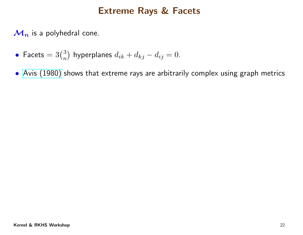$\mathcal{M}_n$  is a polyhedral cone.

- Facets  $= 3{3 \choose n}$  hyperplanes  $d_{ik} + d_{kj} d_{ij} = 0$ .
- Avis [\(1980\)](http://cgm.cs.mcgill.ca/~avis/doc/avis/Av80c.pdf) shows that extreme rays are arbitrarily complex using grap<sup>h</sup> metrics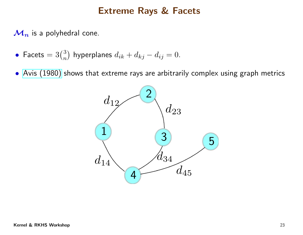$\mathcal{M}_n$  is a polyhedral cone.

- Facets  $= 3{3 \choose n}$  hyperplanes  $d_{ik} + d_{kj} d_{ij} = 0$ .
- Avis [\(1980\)](http://cgm.cs.mcgill.ca/~avis/doc/avis/Av80c.pdf) shows that extreme rays are arbitrarily complex using grap<sup>h</sup> metrics

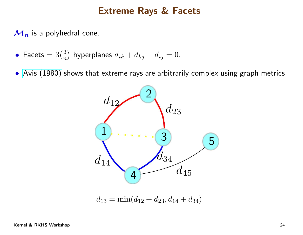$\mathcal{M}_n$  is a polyhedral cone.

- Facets  $= 3{3 \choose n}$  hyperplanes  $d_{ik} + d_{kj} d_{ij} = 0$ .
- Avis [\(1980\)](http://cgm.cs.mcgill.ca/~avis/doc/avis/Av80c.pdf) shows that extreme rays are arbitrarily complex using grap<sup>h</sup> metrics



 $d_{13} = \min(d_{12} + d_{23}, d_{14} + d_{34})$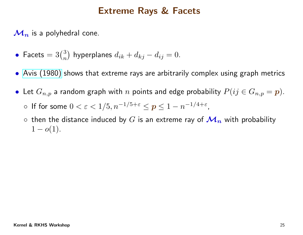$\mathcal{M}_n$  is a polyhedral cone.

- Facets  $= 3{3 \choose n}$  hyperplanes  $d_{ik} + d_{kj} d_{ij} = 0$ .
- Avis [\(1980\)](http://cgm.cs.mcgill.ca/~avis/doc/avis/Av80c.pdf) shows that extreme rays are arbitrarily complex using grap<sup>h</sup> metrics
- $\bullet\hskip2pt$  Let  $G_{n,p}$  a random graph with  $n$  points and edge probability  $P(ij\in G_{n,p}=\boldsymbol{p}).$  $\circ$  If for some  $0 < \varepsilon < 1/5, n^{-1/5+\varepsilon} \le p \le 1-n^{-1/4+\varepsilon}$ ,
	- $\circ$  then the distance induced by  $G$  is an extreme ray of  $\mathcal{M}_{\bm{n}}$  with probability 1 $1 - o(1)$ .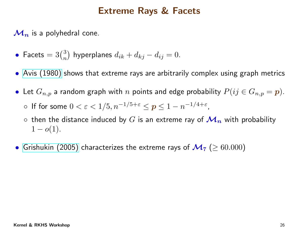$\mathcal{M}_n$  is a polyhedral cone.

- Facets  $= 3{3 \choose n}$  hyperplanes  $d_{ik} + d_{kj} d_{ij} = 0$ .
- Avis [\(1980\)](http://cgm.cs.mcgill.ca/~avis/doc/avis/Av80c.pdf) shows that extreme rays are arbitrarily complex using grap<sup>h</sup> metrics
- $\bullet\hskip2pt$  Let  $G_{n,p}$  a random graph with  $n$  points and edge probability  $P(ij\in G_{n,p}=\boldsymbol{p}).$  $\circ$  If for some  $0 < \varepsilon < 1/5, n^{-1/5+\varepsilon} \le p \le 1-n^{-1/4+\varepsilon}$ ,
	- $\circ$  then the distance induced by  $G$  is an extreme ray of  $\mathcal{M}_{\bm{n}}$  with probability 1 $1 - o(1)$ .
- $\bullet\,$  [Grishukin](http://www.sciencedirect.com/science/article/pii/019566989290021Q) (2005) characterizes the extreme rays of  $\mathcal{M}_7 \ (\geq 60.000)$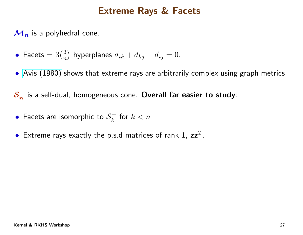$\mathcal{M}_n$  is a polyhedral cone.

- Facets  $= 3{3 \choose n}$  hyperplanes  $d_{ik} + d_{kj} d_{ij} = 0$ .
- Avis [\(1980\)](http://cgm.cs.mcgill.ca/~avis/doc/avis/Av80c.pdf) shows that extreme rays are arbitrarily complex using grap<sup>h</sup> metrics

 $\mathcal{S}_n^+$  is a self-dual, homogeneous cone.  $\textbf{Overall}$  far easier to study:

- •• Facets are isomorphic to  $\mathcal{S}_k^+$  for  $k < n$
- • $\bullet\,$  Extreme rays exactly the p.s.d matrices of rank 1,  $\mathtt{zz}^T.$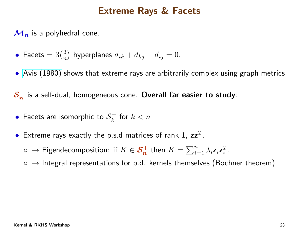$\mathcal{M}_n$  is a polyhedral cone.

- Facets  $= 3{3 \choose n}$  hyperplanes  $d_{ik} + d_{kj} d_{ij} = 0$ .
- Avis [\(1980\)](http://cgm.cs.mcgill.ca/~avis/doc/avis/Av80c.pdf) shows that extreme rays are arbitrarily complex using grap<sup>h</sup> metrics

 $\mathcal{S}_n^+$  is a self-dual, homogeneous cone.  $\textbf{Overall}$  far easier to study:

- •• Facets are isomorphic to  $\mathcal{S}_k^+$  for  $k < n$
- • $\bullet\,$  Extreme rays exactly the p.s.d matrices of rank 1,  $\mathtt{zz}^T.$ 
	- $\circ\ \to \mathsf{Eigendecomposition}\colon$  if  $K\in \mathcal{S}_{\bm{n}}^+$  then  $K=\sum_{i=1}^n\lambda_i\mathsf{z}_i\mathsf{z}_i^T.$
	- $\circ\,\rightarrow$  Integral representations for p.d. kernels themselves (Bochner theorem)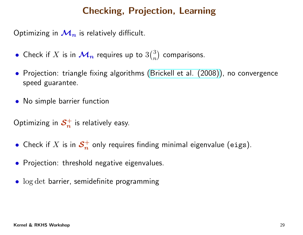### Checking, Projection, Learning

Optimizing in  $\mathcal{M}_n$  $\boldsymbol{n}$  is relatively difficult.

- Check if  $X$  is in  $\mathcal{M}_n$  $\bm{n}$  requires up to  $3\binom{3}{n}$  $\binom{3}{n}$  comparisons.
- Projection: triangle fixing algorithms ([Brickell](http://epubs.siam.org/action/showAbstract?page=375&volume=30&issue=1&journalCode=sjmael) et al. (2008)), no convergence speed guarantee.
- No simple barrier function

Optimizing in  $\mathcal{S}_n^+$  $\boldsymbol{n}$  $\frac{1}{n}$  is relatively easy.

- Check if  $X$  is in  $\mathcal{S}_n^+$  $\boldsymbol{n}$  $\frac{1}{n}$  only requires finding minimal eigenvalue (eigs).
- Projection: threshold negative eigenvalues.
- log det barrier, semidefinite programming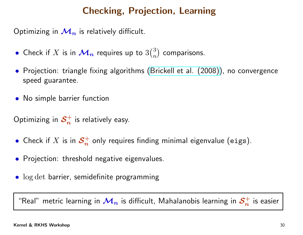## Checking, Projection, Learning

Optimizing in  $\mathcal{M}_n$  $\boldsymbol{n}$  is relatively difficult.

- Check if  $X$  is in  $\mathcal{M}_n$  $\bm{n}$  requires up to  $3\binom{3}{n}$  $\binom{3}{n}$  comparisons.
- Projection: triangle fixing algorithms ([Brickell](http://epubs.siam.org/action/showAbstract?page=375&volume=30&issue=1&journalCode=sjmael) et al. (2008)), no convergence speed guarantee.
- No simple barrier function

Optimizing in  $\mathcal{S}_n^+$  $\boldsymbol{n}$  $\frac{1}{n}$  is relatively easy.

- Check if  $X$  is in  $\mathcal{S}_n^+$  $\boldsymbol{n}$  $\frac{1}{n}$  only requires finding minimal eigenvalue (eigs).
- Projection: threshold negative eigenvalues.
- log det barrier, semidefinite programming

"Real" metric learning in  $\mathcal{M}_n$  $_n$  is difficult, Mahalanobis learning in  $\mathcal{S}^+_n$  $\boldsymbol{n}$  $\frac{n}{n}$  is easier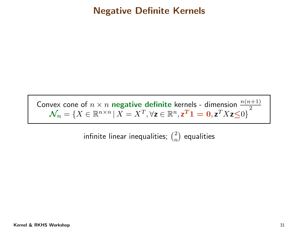#### Negative Definite Kernels

Convex cone of  $n \times n$  negative definite kernels - dimension  $\frac{n(n+1)}{2}$  $\mathcal{N}_{\bm{n}}=\{X\in\mathbb{R}^{n\times n}\,|\,X=X^T,\forall$ z $\in\mathbb{R}^n,$ z $^{\bm{T}}\bm{1}=\bm{0},$ z $^TX$ z $\leq$ 0 $\}$  $^{\times n}$   $\mid$   $X=X^{T}$  $T,\forall \mathsf{z}\in\mathbb{R}^n$  ${\bf z}^T\mathbf{1}={\bf 0},{\bf z}^T$  $^{T}X$ z $\leq$ 0 $\}$ 

> infinite linear inequalities;  $\binom{2}{n}$  $\binom{2}{n}$  equalities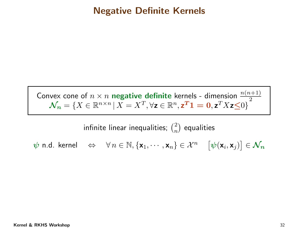#### Negative Definite Kernels

Convex cone of  $n \times n$  negative definite kernels - dimension  $\frac{n(n+1)}{2}$  $\mathcal{N}_{\bm{n}}=\{X\in\mathbb{R}^{n\times n}\,|\,X=X^T,\forall$ z $\in\mathbb{R}^n,$ z $^{\bm{T}}\bm{1}=\bm{0},$ z $^TX$ z $\leq$ 0 $\}$  $^{\times n}$   $\mid$   $X=X^{T}$  $T,\forall \mathsf{z}\in\mathbb{R}^n$  ${\bf z}^T\mathbf{1}={\bf 0},{\bf z}^T$  $^{T}X$ z $\leq$ 0 $\}$ 

> infinite linear inequalities;  $\binom{2}{n}$  $\binom{2}{n}$  equalities

 $\boldsymbol{\psi}$  n.d. kernel  $\Leftrightarrow \forall n \in \mathbb{N}, \{\mathbf{x}_1, \cdots, \mathbf{x}_n\} \in \mathcal{X}^n$  $\overline{\phantom{a}}$  $\big[\psi(\mathsf{x}_i,\mathsf{x}_j)\big]\in \mathcal{N}_{\bm{n}}$  $\overline{\phantom{a}}$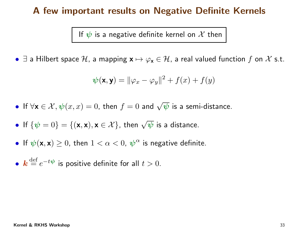#### <sup>A</sup> few important results on Negative Definite Kernels

If  $\psi$  is a negative definite kernel on  $\mathcal X$  then

 $\bullet\,$   $\exists$  a Hilbert space  $\mathcal{H}$ , a mapping  ${\mathbf x} \mapsto \varphi_{\mathbf x}$  $_{\mathsf{x}}\in\mathcal{H}$ , a real valued function  $f$  on  $\mathcal X$  s.t.

$$
\boldsymbol{\psi}(\mathbf{x}, \mathbf{y}) = ||\varphi_x - \varphi_y||^2 + f(x) + f(y)
$$

• If  $\forall \mathsf{x} \in \mathcal{X}, \psi(x, x) = 0$ , then  $f = 0$  and  $\sqrt{\psi}$  is a semi-distance.

- If  $\{\psi = 0\} = \{(\mathbf{x}, \mathbf{x}), \mathbf{x} \in \mathcal{X}\}\)$ , then  $\sqrt{\psi}$  is a distance.
- $\bullet$  If  $\boldsymbol{\psi}(\textbf{x},\textbf{x})\geq 0$ , then  $1<\alpha< 0$ ,  $\boldsymbol{\psi}^{\boldsymbol{\alpha}}$  is negative definite.
- $k \stackrel{\text{def}}{=}$  $e^{-t\bm{\psi}}$  is positive definite for all  $t>0.$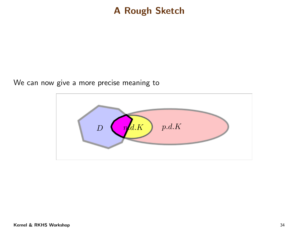#### <sup>A</sup> Rough Sketch

We can now <sup>g</sup>ive <sup>a</sup> more precise meaning to

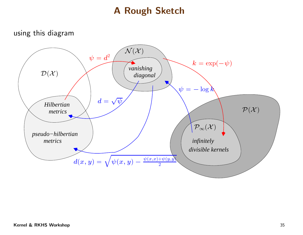#### <sup>A</sup> Rough Sketch

using this diagram

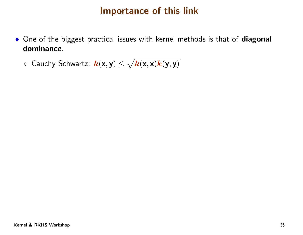#### Importance of this link

- One of the biggest practical issues with kernel methods is that of diagonal dominance.
	- $\circ$  Cauchy Schwartz:  $\bm{k}(\textbf{x}, \textbf{y}) \leq \sqrt{\bm{k}(\textbf{x}, \textbf{x}) \bm{k}(\textbf{y}, \textbf{y})}$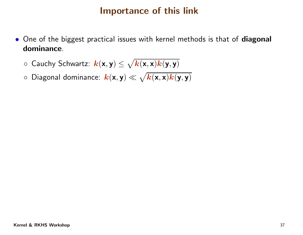# Importance of this link

- One of the biggest practical issues with kernel methods is that of diagonal dominance.
	- $\circ$  Cauchy Schwartz:  $\bm{k}(\textbf{x}, \textbf{y}) \leq \sqrt{\bm{k}(\textbf{x}, \textbf{x}) \bm{k}(\textbf{y}, \textbf{y})}$
	- $\circ$  Diagonal dominance:  $\bm{k}(\textbf{x}, \textbf{y}) \ll \sqrt{\bm{k}(\textbf{x}, \textbf{x}) \bm{k}(\textbf{y}, \textbf{y})}$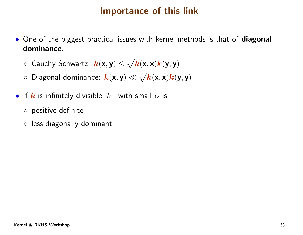# Importance of this link

- One of the biggest practical issues with kernel methods is that of diagonal dominance.
	- $\circ$  Cauchy Schwartz:  $\bm{k}(\textbf{x}, \textbf{y}) \leq \sqrt{\bm{k}(\textbf{x}, \textbf{x}) \bm{k}(\textbf{y}, \textbf{y})}$
	- $\circ$  Diagonal dominance:  $\bm{k}(\textbf{x}, \textbf{y}) \ll \sqrt{\bm{k}(\textbf{x}, \textbf{x}) \bm{k}(\textbf{y}, \textbf{y})}$
- $\bullet$  If  $\bm{k}$  is infinitely divisible,  $k^{\alpha}$  with small  $\alpha$  is
	- positive definite
	- less diagonally dominant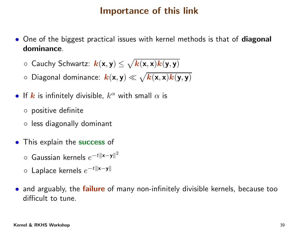# Importance of this link

- One of the biggest practical issues with kernel methods is that of diagonal dominance.
	- $\circ$  Cauchy Schwartz:  $\bm{k}(\textbf{x}, \textbf{y}) \leq \sqrt{\bm{k}(\textbf{x}, \textbf{x}) \bm{k}(\textbf{y}, \textbf{y})}$
	- $\circ$  Diagonal dominance:  $\bm{k}(\textbf{x}, \textbf{y}) \ll \sqrt{\bm{k}(\textbf{x}, \textbf{x}) \bm{k}(\textbf{y}, \textbf{y})}$
- $\bullet$  If  $\bm{k}$  is infinitely divisible,  $k^{\alpha}$  with small  $\alpha$  is
	- positive definite
	- less diagonally dominant
- **•** This explain the success of
	- ◦ $\circ$  Gaussian kernels  $e^{-t\|\mathbf{x}-\mathbf{y}\|^2}$
	- ◦ $\circ$  Laplace kernels  $e^{-t\|\mathbf{x}-\mathbf{y}\|}$
- and arguably, the failure of many non-infinitely divisible kernels, because too difficult to tune.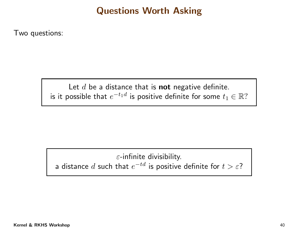# Questions Worth Asking

Two questions:

Let  $d$  be a distance that is  $\operatorname{\mathsf{not}}$  negative definite. is it possible that  $e^{-t_1d}$  is positive definite for some  $t_1\in\mathbb{R} ?$ 

# $\varepsilon$ -infinite divisibility. a distance  $d$  such that  $e^{-td}$  is positive definite for  $t>\varepsilon$ ?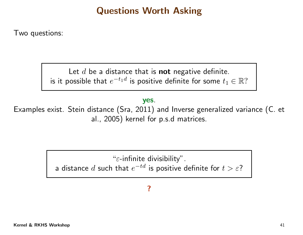# Questions Worth Asking

Two questions:

Let  $d$  be a distance that is  $\operatorname{\mathsf{not}}$  negative definite. is it possible that  $e^{-t_1d}$  is positive definite for some  $t_1\in\mathbb{R} ?$ 

yes.

Examples exist. Stein distance (Sra, 2011) and Inverse generalized variance (C. et al., 2005) kernel for p.s.d matrices.

" $\varepsilon$ -infinite divisibility".

a distance  $d$  such that  $e^{-td}$  is positive definite for  $t>\varepsilon$ ?

#### ?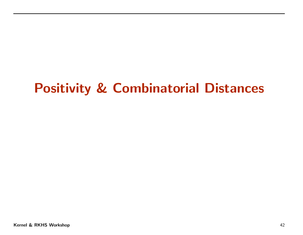# Positivity & Combinatorial Distances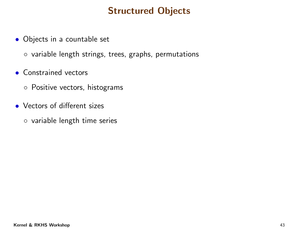# Structured Objects

- Objects in <sup>a</sup> countable set
	- variable length strings, trees, graphs, permutations
- Constrained vectors
	- Positive vectors, histograms
- Vectors of different sizes
	- variable length time series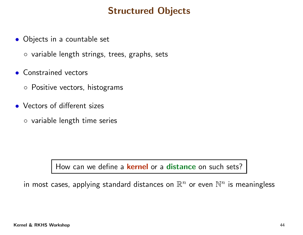# Structured Objects

- Objects in <sup>a</sup> countable set
	- variable length strings, trees, graphs, sets
- Constrained vectors
	- Positive vectors, histograms
- Vectors of different sizes
	- variable length time series

How can we define a **kernel** or a distance on such sets?

in most cases, applying standard distances on  $\mathbb{R}^n$  or even  $\mathbb{N}^n$  is meaningless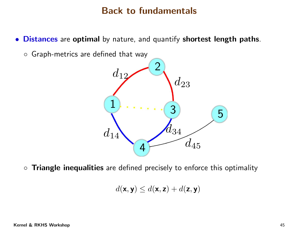**• Distances** are **optimal** by nature, and quantify **shortest length paths**.

◦ Graph-metrics are defined that way



 $\circ$  Triangle inequalities are defined precisely to enforce this optimality

$$
d(\mathbf{x}, \mathbf{y}) \leq d(\mathbf{x}, \mathbf{z}) + d(\mathbf{z}, \mathbf{y})
$$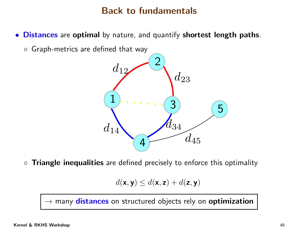$\bullet$ **Distances** are **optimal** by nature, and quantify **shortest length paths**.

 $\circ$  Graph-metrics are defined that way



 $\circ$ Triangle inequalities are defined precisely to enforce this optimality

$$
d(\mathbf{x}, \mathbf{y}) \leq d(\mathbf{x}, \mathbf{z}) + d(\mathbf{z}, \mathbf{y})
$$

 $\rightarrow$  many distances on structured objects rely on  ${\bf optimization}$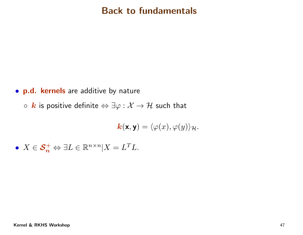- **p.d. kernels** are additive by nature
	- $\circ \: \bm{k}$  is positive definite  $\Leftrightarrow \exists \varphi : \mathcal{X} \rightarrow \mathcal{H}$  such that

$$
\mathbf{k}(\mathbf{x}, \mathbf{y}) = \langle \varphi(x), \varphi(y) \rangle_{\mathcal{H}}.
$$

• 
$$
X \in \mathcal{S}_n^+ \Leftrightarrow \exists L \in \mathbb{R}^{n \times n} | X = L^T L.
$$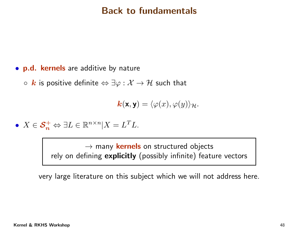- $\bullet$ p.d. kernels are additive by nature
	- $\circ\, {\bm k}$  is positive definite  $\Leftrightarrow \exists \varphi : {\cal X} \to {\cal H}$  such that

$$
\mathbf{k}(\mathbf{x}, \mathbf{y}) = \langle \varphi(x), \varphi(y) \rangle_{\mathcal{H}}.
$$

• 
$$
X \in \mathcal{S}_n^+ \Leftrightarrow \exists L \in \mathbb{R}^{n \times n} | X = L^T L.
$$

→ many <mark>kernels</mark> on structured objects<br>fining **explicitly** (possibly infinite) featu rely on defining explicitly (possibly infinite) feature vectors

very large literature on this subject which we will not address here.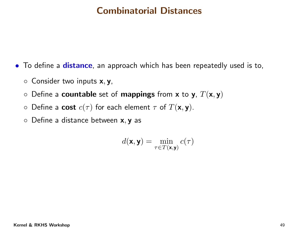# Combinatorial Distances

- To define <sup>a</sup> distance, an approach which has been repeatedly used is to,
	- $\circ$  Consider two inputs  $\mathsf{x},\mathsf{y},$
	- $\circ$  $\circ$  Define a **countable** set of **mappings** from **x** to **y**,  $T(\mathbf{x}, \mathbf{y})$
	- $\circ$ Define a cost  $c(\tau)$  for each element  $\tau$  of  $T(\mathbf{x}, \mathbf{y})$ .
	- $\circ$  Define a distance between  $\textsf{x},\textsf{y}$  as

$$
d(\mathbf{x}, \mathbf{y}) = \min_{\tau \in T(\mathbf{x}, \mathbf{y})} c(\tau)
$$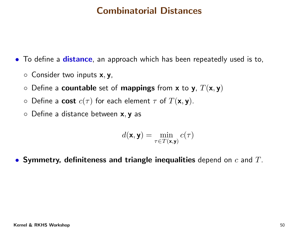# Combinatorial Distances

 $\bullet$  To define a distance, an approach which has been repeatedly used is to,

- $\circ$  Consider two inputs  $\mathsf{x},\mathsf{y},$
- $\circ$  $\circ$  Define a **countable** set of **mappings** from **x** to **y**,  $T(\mathbf{x}, \mathbf{y})$
- $\circ$ Define a cost  $c(\tau)$  for each element  $\tau$  of  $T(\mathbf{x}, \mathbf{y})$ .
- $\circ$  Define a distance between  $\textsf{x},\textsf{y}$  as

$$
d(\mathbf{x}, \mathbf{y}) = \min_{\tau \in T(\mathbf{x}, \mathbf{y})} c(\tau)
$$

 $\bullet$  Symmetry, definiteness and triangle inequalities depend on  $c$  and  $T.$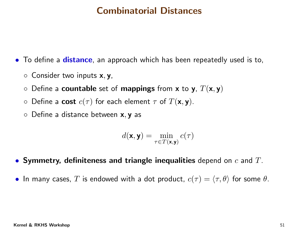# Combinatorial Distances

 $\bullet$  To define a distance, an approach which has been repeatedly used is to,

- $\circ$ Consider two inputs  $x, y$ ,
- $\circ$  $\circ$  Define a **countable** set of **mappings** from **x** to **y**,  $T(\mathbf{x}, \mathbf{y})$
- $\circ$ Define a cost  $c(\tau)$  for each element  $\tau$  of  $T(\mathbf{x}, \mathbf{y})$ .
- $\circ$  Define a distance between  $\textsf{x},\textsf{y}$  as

$$
d(\mathbf{x},\mathbf{y}) = \min_{\tau \in T(\mathbf{x},\mathbf{y})} c(\tau)
$$

- $\bullet$  Symmetry, definiteness and triangle inequalities depend on  $c$  and  $T.$
- $\bullet\,$  In many cases,  $T$  is endowed with a dot product,  $c(\tau)=\langle \tau, \theta\rangle$  for some  $\theta.$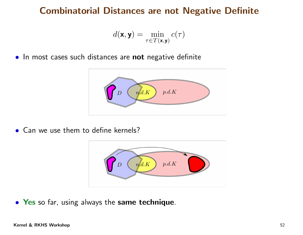# Combinatorial Distances are not Negative Definite

$$
d(\mathbf{x}, \mathbf{y}) = \min_{\tau \in T(\mathbf{x}, \mathbf{y})} c(\tau)
$$

 $\bullet$  In most cases such distances are not negative definite



• Can we use them to define kernels?



**• Yes** so far, using always the same technique.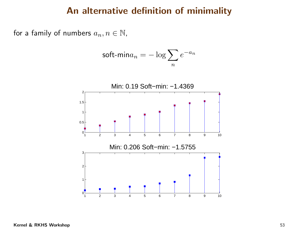#### An alternative definition of minimality

for a family of numbers  $a_n, n \in \mathbb{N}$ ,

$$
\text{soft-min}a_n = -\log \sum_n e^{-a_n}
$$

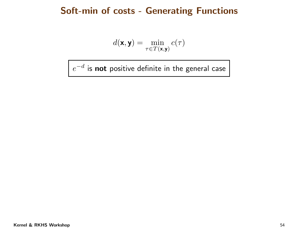#### Soft-min of costs - Generating Functions

$$
d(\mathbf{x}, \mathbf{y}) = \min_{\tau \in T(\mathbf{x}, \mathbf{y})} c(\tau)
$$

 $e^{-d}$  is  ${\bf not}$  positive definite in the general case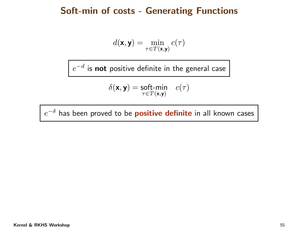#### Soft-min of costs - Generating Functions

$$
d(\mathbf{x}, \mathbf{y}) = \min_{\tau \in T(\mathbf{x}, \mathbf{y})} c(\tau)
$$

 $e^{-d}$  is  ${\bf not}$  positive definite in the general case

$$
\delta(\mathbf{x},\mathbf{y}) = \underset{\tau \in T(\mathbf{x},\mathbf{y})}{\text{soft-min}} \quad c(\tau)
$$

 $e^{-\delta}$  has been proved to be  $\boldsymbol{positive}$  definite in all known cases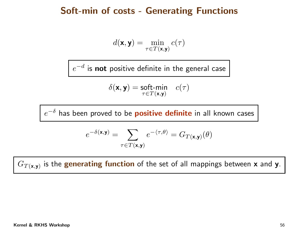#### Soft-min of costs - Generating Functions

$$
d(\mathbf{x}, \mathbf{y}) = \min_{\tau \in T(\mathbf{x}, \mathbf{y})} c(\tau)
$$

 $e^{-d}$  is  ${\bf not}$  positive definite in the general case

$$
\delta(\mathbf{x},\mathbf{y}) = \underset{\tau \in T(\mathbf{x},\mathbf{y})}{\text{soft-min}} \quad c(\tau)
$$

 $e^{-\delta}$  has been proved to be  $\boldsymbol{positive}$  definite in all known cases

$$
e^{-\delta(\mathbf{x}, \mathbf{y})} = \sum_{\tau \in T(\mathbf{x}, \mathbf{y})} e^{-\langle \tau, \theta \rangle} = G_{T(\mathbf{x}, \mathbf{y})}(\theta)
$$

 $G_{T(\mathbf{x},\mathbf{y})}$  is the  $\mathbf g$ enerating function of the set of all mappings between  $\mathbf x$  and  $\mathbf y$ .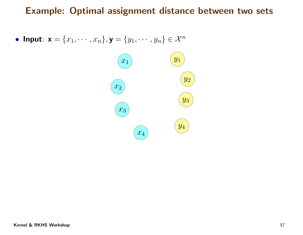• Input:  $\mathbf{x} = \{x_1, \cdots, x_n\}, \mathbf{y} = \{y_1, \cdots, y_n\} \in \mathcal{X}^n$ 

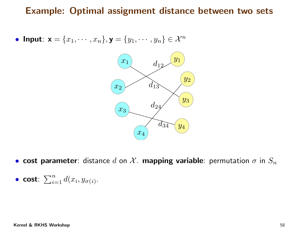• Input:  $\mathbf{x} = \{x_1, \cdots, x_n\}, \mathbf{y} = \{y_1, \cdots, y_n\} \in \mathcal{X}^n$ 



 $\bullet$  cost parameter: distance  $d$  on  $\mathcal X$ . mapping variable: permutation  $\sigma$  in  $S_n$ 

• cost: 
$$
\sum_{i=1}^{n} d(x_i, y_{\sigma(i)})
$$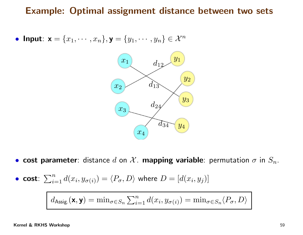• **Input:** 
$$
\mathbf{x} = \{x_1, \dots, x_n\}, \mathbf{y} = \{y_1, \dots, y_n\} \in \mathcal{X}^n
$$



• cost parameter: distance  $d$  on  $\mathcal X$ . mapping variable: permutation  $\sigma$  in  $S_n$ .

• **cost**: 
$$
\sum_{i=1}^{n} d(x_i, y_{\sigma(i)}) = \langle P_{\sigma}, D \rangle \text{ where } D = [d(x_i, y_j)]
$$

$$
d_{\text{Assig.}}(\mathbf{x}, \mathbf{y}) = \min_{\sigma \in S_n} \sum_{i=1}^n d(x_i, y_{\sigma(i)}) = \min_{\sigma \in S_n} \langle P_{\sigma}, D \rangle
$$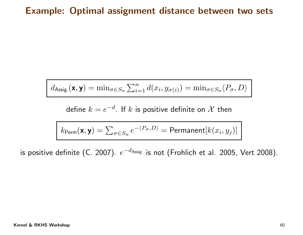$$
d_{\text{Assig.}}(\mathbf{x}, \mathbf{y}) = \min_{\sigma \in S_n} \sum_{i=1}^n d(x_i, y_{\sigma(i)}) = \min_{\sigma \in S_n} \langle P_{\sigma}, D \rangle
$$

define  $k=e^{-d}$ . If  $k$  is positive definite on  $\mathcal X$  then

$$
k_{\text{Perm}}(\mathbf{x}, \mathbf{y}) = \sum_{\sigma \in S_n} e^{-\langle P_{\sigma}, D \rangle} = \text{Permanent}[k(x_i, y_j)]
$$

is positive definite (C. 2007).  $e^{-d_{\sf Assig.}}$  is not (Frohlich et al. 2005, Vert 2008).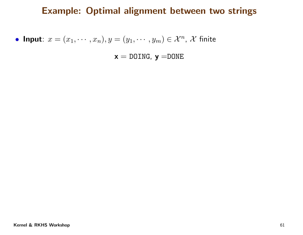• **Input**: 
$$
x = (x_1, \dots, x_n), y = (y_1, \dots, y_m) \in \mathcal{X}^n, \mathcal{X}
$$
 finite

 $\mathsf{x}=\text{\tt{DOLNG}},\ \mathsf{y}=\text{\tt{DONE}}$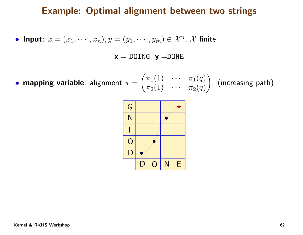• **Input**: 
$$
x = (x_1, \dots, x_n), y = (y_1, \dots, y_m) \in \mathcal{X}^n, \mathcal{X}
$$
 finite

 $\mathsf{x}=\text{\tt{DOLNG}},\ \mathsf{y}=\text{\tt{DONE}}$ 

• mapping variable: alignment  $\pi$ = $=\Bigg($  $\pi$  $\pi_1(1)$ ) ··· π<br>` 1 $\begin{array}{ccc} \pi_1(1) & \cdots & \pi_1(q) \ \pi_2(1) & \cdots & \pi_2(q) \end{array}$  $\left.\begin{array}{ccc} 0 & \cdots & \pi_1(q) \ \cdots & \pi_2(q) \end{array} \right)$  (increasing path)

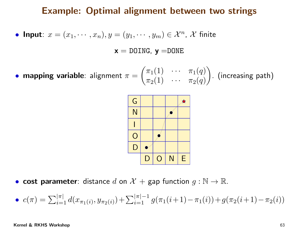• **Input**: 
$$
x = (x_1, \dots, x_n), y = (y_1, \dots, y_m) \in \mathcal{X}^n, \mathcal{X}
$$
 finite

 $\mathsf{x}=\text{\tt{DOLNG}},\ \mathsf{y}=\text{\tt{DONE}}$ 

 $\bullet$  mapping variable: alignment  $\pi$ = $\left(\begin{array}{c}\right)$ π $\pi_1(1)$  $\int$   $\cdots$   $\pi$ 1 $\begin{array}{ccc} \pi_1(1) & \cdots & \pi_1(q) \ \pi_2(1) & \cdots & \pi_2(q) \end{array}$  $\left.\begin{array}{ccc} 0 & \cdots & \pi_1(q) \ \cdots & \pi_2(q) \end{array} \right)$  (increasing path)



- $\bullet$  cost parameter: distance  $d$  on  $\mathcal{X} +$  gap function  $g : \mathbb{N} \to \mathbb{R}$ .
- $\bullet \ \ c(\pi)=\sum_{i=1}^{|\pi|}d(x_{\pi_1(i)},y_{\pi_2(i)})+\sum_{i=1}^{|\pi|-1}$  $\sum_{i=1}^{|\pi|-1}g(\pi_1(i+1))$  $-\pi_1(i))+g(\pi_2(i+1))$  $-\,\pi_2(i))$

#### Kernel & RKHS Workshop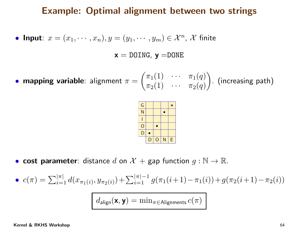• **Input**: 
$$
x = (x_1, \dots, x_n), y = (y_1, \dots, y_m) \in \mathcal{X}^n, \mathcal{X}
$$
 finite

 $\mathsf{x}=\text{\tt{DOLNG}},\ \mathsf{y}=\text{\tt{DONE}}$ 

• mapping variable: alignment  $\pi$ = $\left(\begin{array}{c}\right)$  $\pi$  $\pi_1(1)$  $\begin{matrix} 1 & \cdots & \pi \\ 0 & \cdots & \pi \end{matrix}$ 1 $\begin{array}{ccc} \pi_1(1) & \cdots & \pi_1(q) \ \pi_2(1) & \cdots & \pi_2(q) \end{array}$  $\left.\begin{array}{ccc} 0 & \cdots & \pi_1(q) \ \cdots & \pi_2(q) \end{array}\right)$ . (increasing path)



- $\bullet$  cost parameter: distance  $d$  on  $\mathcal{X} +$  gap function  $g : \mathbb{N} \to \mathbb{R}$ .
- $\bullet \ \ c(\pi)=\sum_{i=1}^{|\pi|}d(x_{\pi_1(i)},y_{\pi_2(i)})+\sum_{i=1}^{|\pi|-1}$  $\sum_{i=1}^{\lfloor n\rfloor-1}g(\pi_1(i+1))$  $-\pi_1(i))+g(\pi_2(i+1))$  $-\,\pi_2(i))$

 $d_{\sf align}({\mathbf x},{\mathbf y}) = \min_{\pi \in {\mathsf{Alignnents}}}c(\pi)$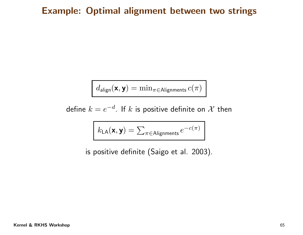$$
d_{\text{align}}(\mathbf{x}, \mathbf{y}) = \min_{\pi \in \text{Aligaments}} c(\pi)
$$

define  $k=e^{-d}$ . If  $k$  is positive definite on  $\mathcal X$  then

$$
k_{\text{LA}}(\mathbf{x}, \mathbf{y}) = \sum_{\pi \in \text{Aligaments}} e^{-c(\pi)}
$$

is positive definite (Saigo et al. 2003).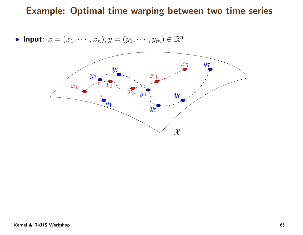• Input:  $x = (x_1, \dots, x_n), y = (y_1, \dots, y_m) \in \mathbb{R}^n$ 

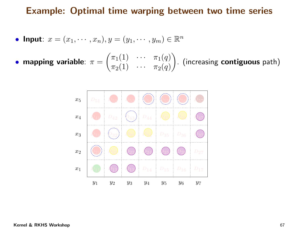• **Input**: 
$$
x = (x_1, \dots, x_n), y = (y_1, \dots, y_m) \in \mathbb{R}^n
$$

 $\bullet$  mapping variable:  $\pi$ = $=\Bigg($  $\pi$  $\pi_1(1)$  $\int$   $\cdots$   $\pi$ 1 $\begin{array}{ccc} \pi_1(1) & \cdots & \pi_1(q) \ \pi_2(1) & \cdots & \pi_2(q) \end{array}$  $\left.\begin{array}{ccc} 0 & \cdots & \pi_1(q) \ \cdots & \pi_2(q) \end{array}\right)$  (increasing **contiguous** path)

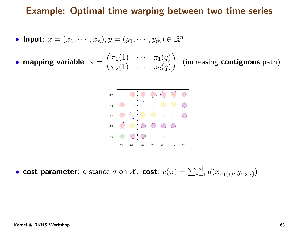• **Input**: 
$$
x = (x_1, \dots, x_n), y = (y_1, \dots, y_m) \in \mathbb{R}^n
$$

 $\bullet$  mapping variable:  $\pi$ = $=\Bigg($  $\pi$  $\pi_1(1)$  $\int$   $\cdots$   $\pi$ 1 $\begin{array}{ccc} \pi_1(1) & \cdots & \pi_1(q) \ \pi_2(1) & \cdots & \pi_2(q) \end{array}$  $\left.\begin{array}{ccc} 0 & \cdots & \pi_1(q) \ \cdots & \pi_2(q) \end{array}\right)$  (increasing **contiguous** path)



• cost parameter: distance  $d$  on  $\mathcal{X}$ . cost:  $c(\pi) = \sum_{i=1}^{|\pi|} d(x_{\pi_1(i)}, y_{\pi_2(i)})$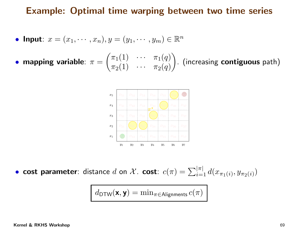• **Input**: 
$$
x = (x_1, \dots, x_n), y = (y_1, \dots, y_m) \in \mathbb{R}^n
$$

 $\bullet$  mapping variable:  $\pi$ = $=\Bigg($  $\pi$  $\pi_1(1)$  $\int$   $\cdots$   $\pi$ 1 $\begin{array}{ccc} \pi_1(1) & \cdots & \pi_1(q) \ \pi_2(1) & \cdots & \pi_2(q) \end{array}$  $\left.\begin{array}{ccc} 0 & \cdots & \pi_1(q) \ \cdots & \pi_2(q) \end{array}\right)$  (increasing **contiguous** path)



• cost parameter: distance  $d$  on  $\mathcal{X}$ . cost:  $c(\pi) = \sum_{i=1}^{|\pi|} d(x_{\pi_1(i)}, y_{\pi_2(i)})$ 

 $d_{\mathsf{DTW}}(\mathsf{x},\mathsf{y}) = \min_{\pi \in \mathsf{Aligaments}} c(\pi)$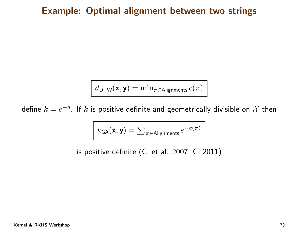$$
d_{\mathsf{DTW}}(\mathbf{x},\mathbf{y}) = \min_{\pi \in \mathsf{Aligaments}} c(\pi)
$$

define  $k=e^{-d}.$  If  $k$  is positive definite and geometrically divisible on  ${\cal X}$  then

$$
k_{\mathsf{GA}}(\mathbf{x},\mathbf{y}) = \sum_{\pi \in \mathsf{Alignments}} e^{-c(\pi)}
$$

is positive definite (C. et al. 2007, C. 2011)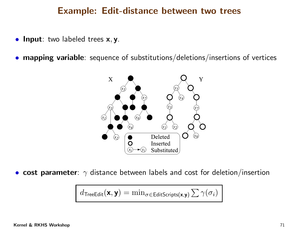#### Example: Edit-distance between two trees

- Input: two labeled trees x, y.
- mapping variable: sequence of substitutions/deletions/insertions of vertices



• $\bullet\,$  cost parameter:  $\gamma$  distance between labels and cost for deletion/insertion

$$
d_{\mathsf{TreeEdit}}(\mathbf{x}, \mathbf{y}) = \min_{\sigma \in \mathsf{EditScripts}(\mathbf{x}, \mathbf{y})} \sum \gamma(\sigma_i)
$$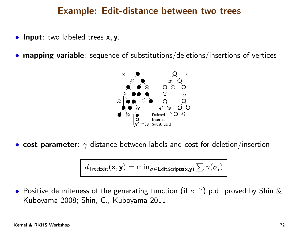### Example: Edit-distance between two trees

- Input: two labeled trees x, y.
- •mapping variable: sequence of substitutions/deletions/insertions of vertices



• $\bullet\,$  cost parameter:  $\gamma$  distance between labels and cost for deletion/insertion

$$
d_{\mathsf{TreeEdit}}(\mathbf{x}, \mathbf{y}) = \min_{\sigma \in \mathsf{EditScripts}(\mathbf{x}, \mathbf{y})} \sum \gamma(\sigma_i)
$$

 $\bullet$  Positive definiteness of the generating function (if  $e^{-\gamma})$  p.d. proved by Shin & Kuboyama 2008; Shin, C., Kuboyama 2011.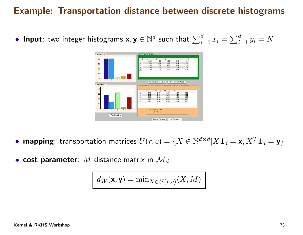## Example: Transportation distance between discrete histograms

 $\bullet$  Input: two integer histograms  $\textsf{x},\textsf{y}\in\mathbb{N}^{d}$  such that  $\sum$ d $\sum\limits_{i=1}^a x_i = \sum$ d $\frac{u}{i=1}y_i=N$ 



- mapping: transportation matrices  $U(r,c) = \{X \in \mathbb{N}^d\}$  $\times d$  $d|X\mathbf{1}_d=\mathbf{x}, X^T$  ${^T} \mathbf{1}_d=\mathbf{y}\}$
- cost parameter:  $M$  distance matrix in  $\mathcal{M}_d$ .

$$
d_W(\mathbf{x}, \mathbf{y}) = \min_{X \in U(r,c)} \langle X, M \rangle
$$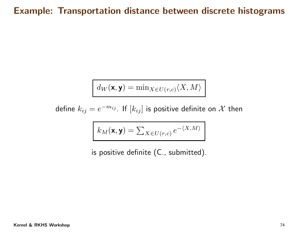## Example: Transportation distance between discrete histograms

$$
d_W(\mathbf{x},\mathbf{y}) = \min_{X \in U(r,c)} \langle X, M \rangle
$$

define  $k_{ij}=e^{-}$  $^{m_{ij}}$  . If  $[k_{ij}]$  is positive definite on  $\mathcal X$  then

$$
k_M(\mathbf{x}, \mathbf{y}) = \sum_{X \in U(r,c)} e^{-\langle X, M \rangle}
$$

is positive definite (C., submitted).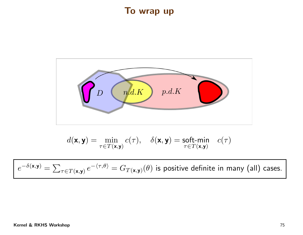## To wrap up



$$
d(\mathbf{x}, \mathbf{y}) = \min_{\tau \in T(\mathbf{x}, \mathbf{y})} c(\tau), \quad \delta(\mathbf{x}, \mathbf{y}) = \underset{\tau \in T(\mathbf{x}, \mathbf{y})}{\text{soft-min}} \quad c(\tau)
$$

 $e^{-\delta({\bf x},{\bf y})}=\sum_{\tau\in T({\bf x},{\bf y})}e^{-\langle\tau,\theta\rangle}=G_{T({\bf x},{\bf y})}(\theta)$  is positive definite in many (all) cases.